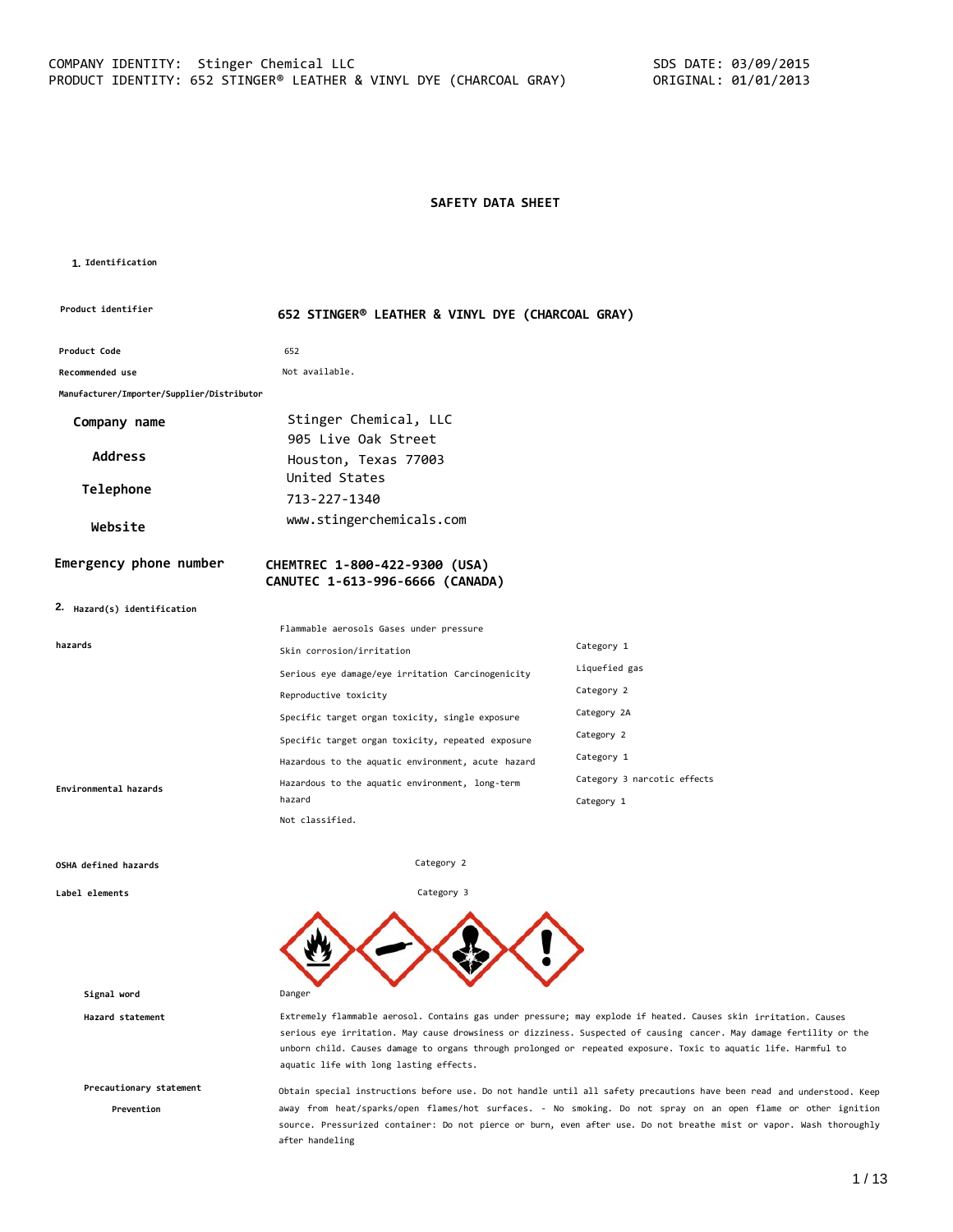## **SAFETY DATA SHEET**

#### **1. Identification**

| Product identifier                         | 652 STINGER® LEATHER & VINYL DYE (CHARCOAL GRAY)                 |                             |
|--------------------------------------------|------------------------------------------------------------------|-----------------------------|
| Product Code                               | 652                                                              |                             |
| Recommended use                            | Not available.                                                   |                             |
| Manufacturer/Importer/Supplier/Distributor |                                                                  |                             |
| Company name                               | Stinger Chemical, LLC<br>905 Live Oak Street                     |                             |
| <b>Address</b>                             | Houston, Texas 77003                                             |                             |
| Telephone                                  | United States<br>713-227-1340                                    |                             |
| Website                                    | www.stingerchemicals.com                                         |                             |
| Emergency phone number                     | CHEMTREC 1-800-422-9300 (USA)<br>CANUTEC 1-613-996-6666 (CANADA) |                             |
| 2. Hazard(s) identification                |                                                                  |                             |
|                                            | Flammable aerosols Gases under pressure                          |                             |
| hazards                                    | Skin corrosion/irritation                                        | Category 1                  |
|                                            | Serious eye damage/eye irritation Carcinogenicity                | Liquefied gas               |
|                                            | Reproductive toxicity                                            | Category 2                  |
|                                            | Specific target organ toxicity, single exposure                  | Category 2A                 |
|                                            | Specific target organ toxicity, repeated exposure                | Category 2                  |
|                                            | Hazardous to the aquatic environment, acute hazard               | Category 1                  |
| Environmental hazards                      | Hazardous to the aquatic environment, long-term<br>hazard        | Category 3 narcotic effects |
|                                            | Not classified.                                                  | Category 1                  |

Category 2

Category 3

#### **OSHA defined hazards**

**Label elements**

**Signal word** Danger

**Precautionary statement**

**Prevention**

**Hazard statement** Extremely flammable aerosol. Contains gas under pressure; may explode if heated. Causes skin irritation. Causes serious eye irritation. May cause drowsiness or dizziness. Suspected of causing cancer. May damage fertility or the unborn child. Causes damage to organs through prolonged or repeated exposure. Toxic to aquatic life. Harmful to aquatic life with long lasting effects.

> Obtain special instructions before use. Do not handle until all safety precautions have been read and understood. Keep away from heat/sparks/open flames/hot surfaces. - No smoking. Do not spray on an open flame or other ignition source. Pressurized container: Do not pierce or burn, even after use. Do not breathe mist or vapor. Wash thoroughly after handeling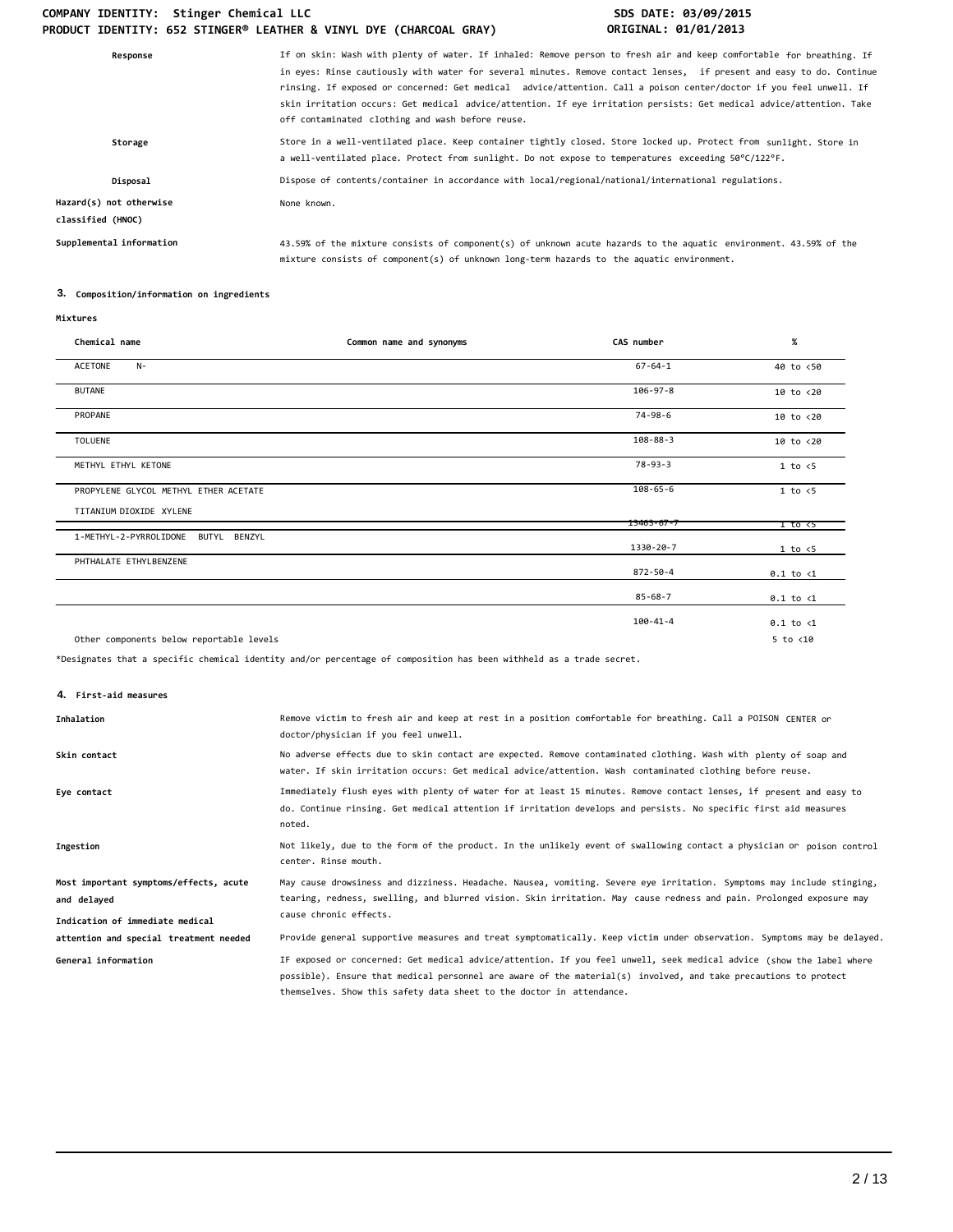# **COMPANY IDENTITY: Stinger Chemical LLC SDS DATE: 03/09/2015**

|                                              | PRODUCT IDENTITY: 652 STINGER® LEATHER & VINYL DYE (CHARCOAL GRAY)                                  | ORIGINAL: 01/01/2013                                                                                                                                                                                                                                                                                                                                                                                                                                                                       |
|----------------------------------------------|-----------------------------------------------------------------------------------------------------|--------------------------------------------------------------------------------------------------------------------------------------------------------------------------------------------------------------------------------------------------------------------------------------------------------------------------------------------------------------------------------------------------------------------------------------------------------------------------------------------|
| Response                                     | off contaminated clothing and wash before reuse.                                                    | If on skin: Wash with plenty of water. If inhaled: Remove person to fresh air and keep comfortable for breathing. If<br>in eyes: Rinse cautiously with water for several minutes. Remove contact lenses, if present and easy to do. Continue<br>rinsing. If exposed or concerned: Get medical advice/attention. Call a poison center/doctor if you feel unwell. If<br>skin irritation occurs: Get medical advice/attention. If eye irritation persists: Get medical advice/attention. Take |
| Storage                                      | a well-ventilated place. Protect from sunlight. Do not expose to temperatures exceeding 50°C/122°F. | Store in a well-ventilated place. Keep container tightly closed. Store locked up. Protect from sunlight. Store in                                                                                                                                                                                                                                                                                                                                                                          |
| Disposal                                     | Dispose of contents/container in accordance with local/regional/national/international regulations. |                                                                                                                                                                                                                                                                                                                                                                                                                                                                                            |
| Hazard(s) not otherwise<br>classified (HNOC) | None known.                                                                                         |                                                                                                                                                                                                                                                                                                                                                                                                                                                                                            |
| Supplemental information                     | mixture consists of component(s) of unknown long-term hazards to the aquatic environment.           | 43.59% of the mixture consists of component(s) of unknown acute hazards to the aquatic environment. 43.59% of the                                                                                                                                                                                                                                                                                                                                                                          |

## **3. Composition/information on ingredients**

| Chemical name                            | Common name and synonyms | CAS number       | $\%$                 |
|------------------------------------------|--------------------------|------------------|----------------------|
| ACETONE<br>$N-$                          |                          | $67 - 64 - 1$    | 40 to <50            |
| <b>BUTANE</b>                            |                          | $106 - 97 - 8$   | 10 to <20            |
| PROPANE                                  |                          | $74 - 98 - 6$    | $10$ to $< 20$       |
| <b>TOLUENE</b>                           |                          | $108 - 88 - 3$   | 10 to <20            |
| METHYL ETHYL KETONE                      |                          | $78 - 93 - 3$    | 1 to < 5             |
| PROPYLENE GLYCOL METHYL ETHER ACETATE    |                          | $108 - 65 - 6$   | 1 to < 5             |
| TITANIUM DIOXIDE XYLENE                  |                          |                  |                      |
|                                          |                          | $13463 - 67 - 7$ | 1 to <5              |
| 1-METHYL-2-PYRROLIDONE<br>BUTYL BENZYL   |                          | 1330-20-7        | 1 to < 5             |
| PHTHALATE ETHYLBENZENE                   |                          | $872 - 50 - 4$   | $0.1$ to $\langle 1$ |
|                                          |                          | $85 - 68 - 7$    | $0.1$ to $\langle 1$ |
|                                          |                          | $100 - 41 - 4$   | $0.1$ to $\langle 1$ |
| Other components below reportable levels |                          |                  | $5$ to $< 10$        |

\*Designates that a specific chemical identity and/or percentage of composition has been withheld as a trade secret.

**4. First-aid measures**

| Inhalation                             | Remove victim to fresh air and keep at rest in a position comfortable for breathing. Call a POISON CENTER or<br>doctor/physician if you feel unwell.                                                                                                                                                            |
|----------------------------------------|-----------------------------------------------------------------------------------------------------------------------------------------------------------------------------------------------------------------------------------------------------------------------------------------------------------------|
| Skin contact                           | No adverse effects due to skin contact are expected. Remove contaminated clothing. Wash with plenty of soap and<br>water. If skin irritation occurs: Get medical advice/attention. Wash contaminated clothing before reuse.                                                                                     |
| Eye contact                            | Immediately flush eyes with plenty of water for at least 15 minutes. Remove contact lenses, if present and easy to<br>do. Continue rinsing. Get medical attention if irritation develops and persists. No specific first aid measures<br>noted.                                                                 |
| Ingestion                              | Not likely, due to the form of the product. In the unlikely event of swallowing contact a physician or poison control<br>center. Rinse mouth.                                                                                                                                                                   |
| Most important symptoms/effects, acute | May cause drowsiness and dizziness. Headache. Nausea, vomiting. Severe eye irritation. Symptoms may include stinging,                                                                                                                                                                                           |
| and delayed                            | tearing, redness, swelling, and blurred vision. Skin irritation. May cause redness and pain. Prolonged exposure may                                                                                                                                                                                             |
| Indication of immediate medical        | cause chronic effects.                                                                                                                                                                                                                                                                                          |
| attention and special treatment needed | Provide general supportive measures and treat symptomatically. Keep victim under observation. Symptoms may be delayed.                                                                                                                                                                                          |
| General information                    | IF exposed or concerned: Get medical advice/attention. If you feel unwell, seek medical advice (show the label where<br>possible). Ensure that medical personnel are aware of the material(s) involved, and take precautions to protect<br>themselves. Show this safety data sheet to the doctor in attendance. |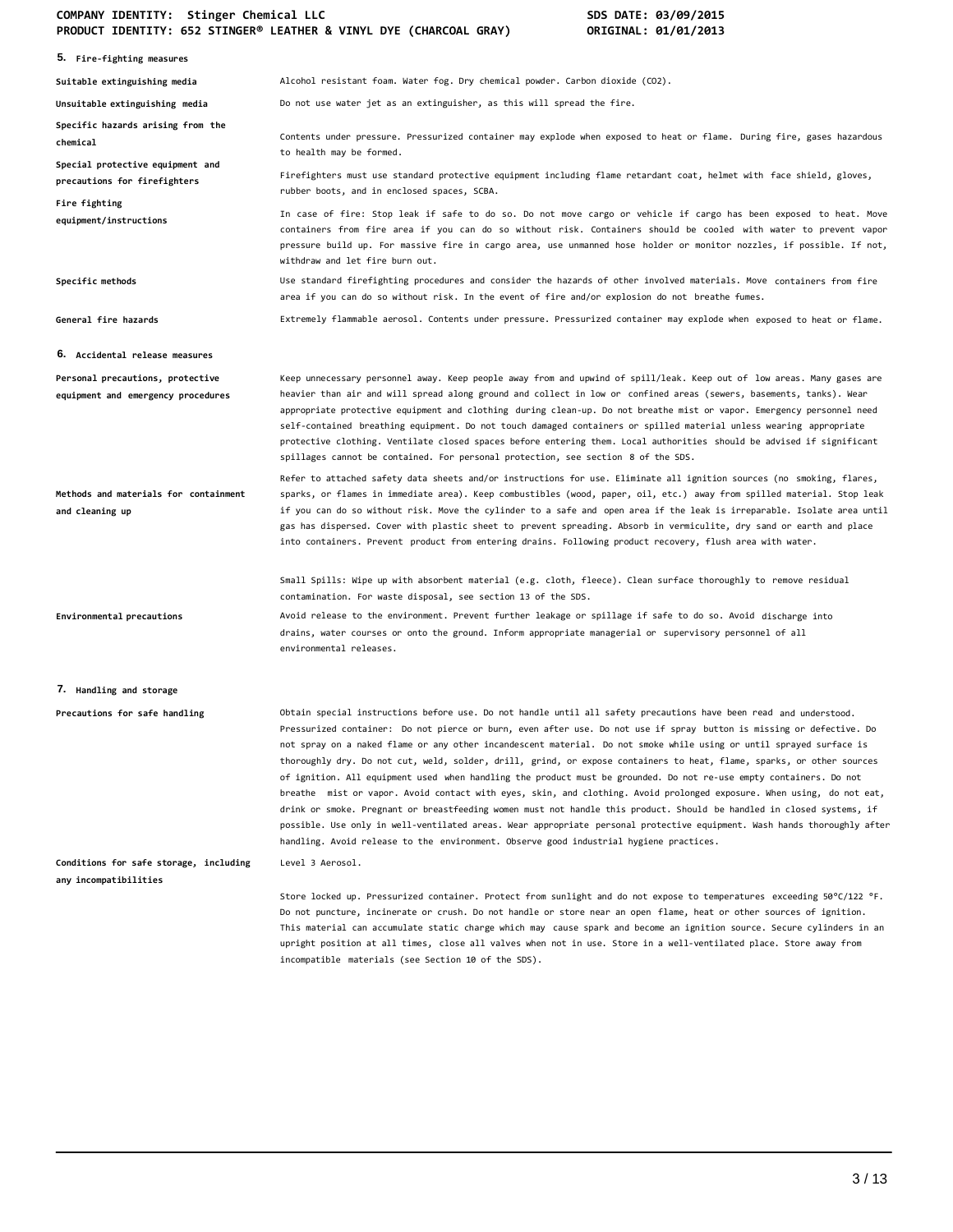## **COMPANY IDENTITY: Stinger Chemical LLC SDS DATE: 03/09/2015 PRODUCT IDENTITY: 652 STINGER® LEATHER & VINYL DYE (CHARCOAL GRAY) ORIGINAL: 01/01/2013 5. Fire-fighting measures Suitable extinguishing media** Alcohol resistant foam. Water fog. Dry chemical powder. Carbon dioxide (CO2). **Unsuitable extinguishing media Specific hazards arising from the chemical Special protective equipment and precautions for firefighters Fire fighting equipment/instructions** Do not use water jet as an extinguisher, as this will spread the fire. Contents under pressure. Pressurized container may explode when exposed to heat or flame. During fire, gases hazardous to health may be formed. Firefighters must use standard protective equipment including flame retardant coat, helmet with face shield, gloves, rubber boots, and in enclosed spaces, SCBA. In case of fire: Stop leak if safe to do so. Do not move cargo or vehicle if cargo has been exposed to heat. Move containers from fire area if you can do so without risk. Containers should be cooled with water to prevent vapor pressure build up. For massive fire in cargo area, use unmanned hose holder or monitor nozzles, if possible. If not, withdraw and let fire burn out. **Specific methods** Use standard firefighting procedures and consider the hazards of other involved materials. Move containers from fire area if you can do so without risk. In the event of fire and/or explosion do not breathe fumes. General fire hazards **EXtremely flammable aerosol.** Contents under pressure. Pressurized container may explode when exposed to heat or flame. **6. Accidental release measures Personal precautions, protective equipment and emergency procedures Methods and materials for containment and cleaning up** Keep unnecessary personnel away. Keep people away from and upwind of spill/leak. Keep out of low areas. Many gases are heavier than air and will spread along ground and collect in low or confined areas (sewers, basements, tanks). Wear appropriate protective equipment and clothing during clean-up. Do not breathe mist or vapor. Emergency personnel need self-contained breathing equipment. Do not touch damaged containers or spilled material unless wearing appropriate protective clothing. Ventilate closed spaces before entering them. Local authorities should be advised if significant spillages cannot be contained. For personal protection, see section 8 of the SDS. Refer to attached safety data sheets and/or instructions for use. Eliminate all ignition sources (no smoking, flares, sparks, or flames in immediate area). Keep combustibles (wood, paper, oil, etc.) away from spilled material. Stop leak if you can do so without risk. Move the cylinder to a safe and open area if the leak is irreparable. Isolate area until gas has dispersed. Cover with plastic sheet to prevent spreading. Absorb in vermiculite, dry sand or earth and place into containers. Prevent product from entering drains. Following product recovery, flush area with water. Small Spills: Wipe up with absorbent material (e.g. cloth, fleece). Clean surface thoroughly to remove residual contamination. For waste disposal, see section 13 of the SDS. **Environmental precautions** Avoid release to the environment. Prevent further leakage or spillage if safe to do so. Avoid discharge into drains, water courses or onto the ground. Inform appropriate managerial or supervisory personnel of all environmental releases. **7. Handling and storage Precautions for safe handling** Obtain special instructions before use. Do not handle until all safety precautions have been read and understood. Pressurized container: Do not pierce or burn, even after use. Do not use if spray button is missing or defective. Do not spray on a naked flame or any other incandescent material. Do not smoke while using or until sprayed surface is thoroughly dry. Do not cut, weld, solder, drill, grind, or expose containers to heat, flame, sparks, or other sources of ignition. All equipment used when handling the product must be grounded. Do not re-use empty containers. Do not breathe mist or vapor. Avoid contact with eyes, skin, and clothing. Avoid prolonged exposure. When using, do not eat, drink or smoke. Pregnant or breastfeeding women must not handle this product. Should be handled in closed systems, if possible. Use only in well-ventilated areas. Wear appropriate personal protective equipment. Wash hands thoroughly after handling. Avoid release to the environment. Observe good industrial hygiene practices. **Conditions for safe storage, including any incompatibilities** Level 3 Aerosol. Store locked up. Pressurized container. Protect from sunlight and do not expose to temperatures exceeding 50°C/122 °F. Do not puncture, incinerate or crush. Do not handle or store near an open flame, heat or other sources of ignition. This material can accumulate static charge which may cause spark and become an ignition source. Secure cylinders in an upright position at all times, close all valves when not in use. Store in a well-ventilated place. Store away from

incompatible materials (see Section 10 of the SDS).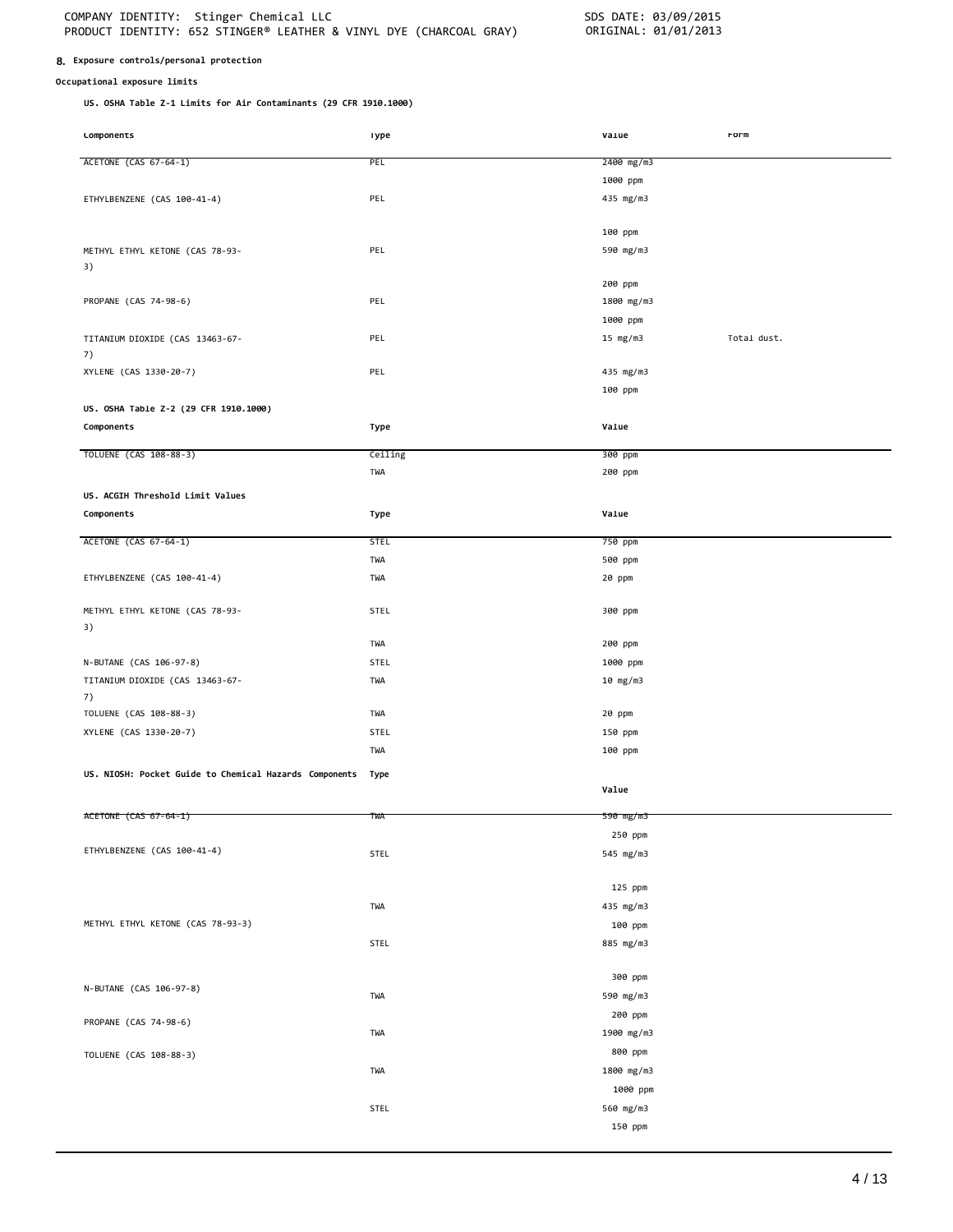## **8. Exposure controls/personal protection**

## **Occupational exposure limits**

**US. OSHA Table Z-1 Limits for Air Contaminants (29 CFR 1910.1000)**

| Lomponents                                             | ıype        | varue      | rorm        |
|--------------------------------------------------------|-------------|------------|-------------|
|                                                        | PEL         | 2400 mg/m3 |             |
| ACETONE (CAS 67-64-1)                                  |             |            |             |
|                                                        |             | 1000 ppm   |             |
| ETHYLBENZENE (CAS 100-41-4)                            | PEL         | 435 mg/m3  |             |
|                                                        |             |            |             |
|                                                        |             | 100 ppm    |             |
| METHYL ETHYL KETONE (CAS 78-93-                        | PEL         | 590 mg/m3  |             |
| 3)                                                     |             |            |             |
|                                                        |             | 200 ppm    |             |
| PROPANE (CAS 74-98-6)                                  | PEL         | 1800 mg/m3 |             |
|                                                        |             | 1000 ppm   |             |
| TITANIUM DIOXIDE (CAS 13463-67-                        | PEL         | 15 $mg/m3$ | Total dust. |
| 7)                                                     |             |            |             |
| XYLENE (CAS 1330-20-7)                                 | PEL         | 435 mg/m3  |             |
|                                                        |             | 100 ppm    |             |
| US. OSHA Table Z-2 (29 CFR 1910.1000)                  |             |            |             |
|                                                        |             |            |             |
| Components                                             | Type        | Value      |             |
| TOLUENE (CAS 108-88-3)                                 | Ceiling     | 300 ppm    |             |
|                                                        | TWA         | 200 ppm    |             |
|                                                        |             |            |             |
| US. ACGIH Threshold Limit Values                       |             |            |             |
| Components                                             | Type        | Value      |             |
| ACETONE (CAS 67-64-1)                                  | <b>STEL</b> | 750 ppm    |             |
|                                                        | TWA         | 500 ppm    |             |
|                                                        |             |            |             |
| ETHYLBENZENE (CAS 100-41-4)                            | TWA         | 20 ppm     |             |
|                                                        |             |            |             |
| METHYL ETHYL KETONE (CAS 78-93-                        | <b>STEL</b> | 300 ppm    |             |
| 3)                                                     |             |            |             |
|                                                        | TWA         | 200 ppm    |             |
| N-BUTANE (CAS 106-97-8)                                | <b>STEL</b> | 1000 ppm   |             |
| TITANIUM DIOXIDE (CAS 13463-67-                        | TWA         | 10 mg/m3   |             |
| 7)                                                     |             |            |             |
| TOLUENE (CAS 108-88-3)                                 | TWA         | 20 ppm     |             |
| XYLENE (CAS 1330-20-7)                                 | STEL        | 150 ppm    |             |
|                                                        | TWA         | 100 ppm    |             |
| US. NIOSH: Pocket Guide to Chemical Hazards Components | Type        |            |             |
|                                                        |             | Value      |             |
|                                                        |             |            |             |
| ACETONE (CAS 67-64-1)                                  | TWA         | 590 mg/m3  |             |
|                                                        |             | 250 ppm    |             |
| ETHYLBENZENE (CAS 100-41-4)                            | STEL        | 545 mg/m3  |             |
|                                                        |             |            |             |
|                                                        |             | 125 ppm    |             |
|                                                        | TWA         | 435 mg/m3  |             |
| METHYL ETHYL KETONE (CAS 78-93-3)                      |             | 100 ppm    |             |
|                                                        |             |            |             |
|                                                        | STEL        | 885 mg/m3  |             |
|                                                        |             |            |             |
| N-BUTANE (CAS 106-97-8)                                |             | 300 ppm    |             |
|                                                        | TWA         | 590 mg/m3  |             |
| PROPANE (CAS 74-98-6)                                  |             | 200 ppm    |             |
|                                                        | TWA         | 1900 mg/m3 |             |
| TOLUENE (CAS 108-88-3)                                 |             | 800 ppm    |             |
|                                                        | TWA         | 1800 mg/m3 |             |
|                                                        |             | 1000 ppm   |             |
|                                                        |             |            |             |
|                                                        | STEL        | 560 mg/m3  |             |
|                                                        |             | 150 ppm    |             |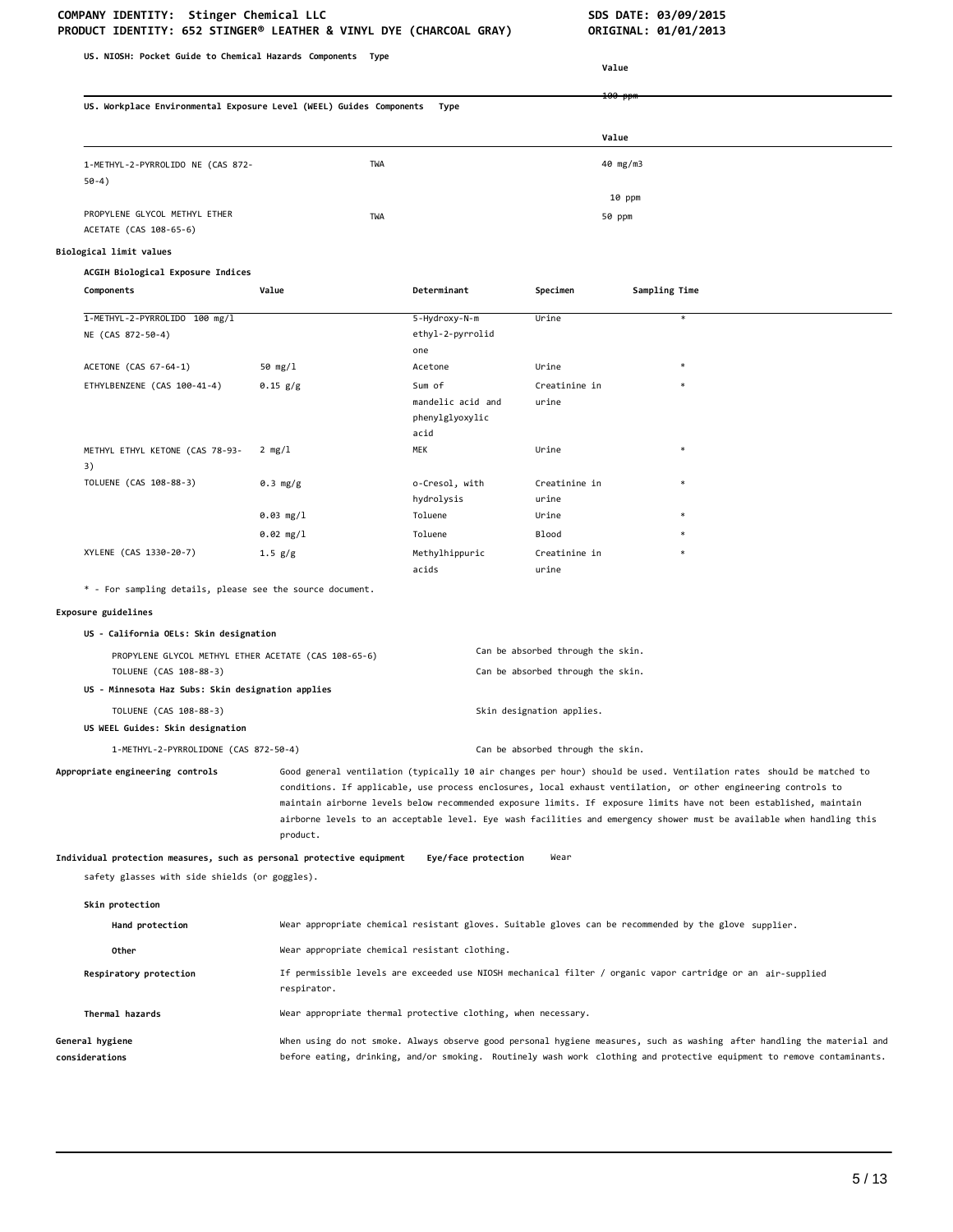| PRODUCT IDENTITY: 652 STINGER® LEATHER & VINYL DYE (CHARCOAL GRAY)<br>US. NIOSH: Pocket Guide to Chemical Hazards Components Type                                                                                                                                                                                                                                                                                                                                                                                                    |                                                               |                                              |                                                                        | ORIGINAL: 01/01/2013                                                                                                                                                                                                                              |
|--------------------------------------------------------------------------------------------------------------------------------------------------------------------------------------------------------------------------------------------------------------------------------------------------------------------------------------------------------------------------------------------------------------------------------------------------------------------------------------------------------------------------------------|---------------------------------------------------------------|----------------------------------------------|------------------------------------------------------------------------|---------------------------------------------------------------------------------------------------------------------------------------------------------------------------------------------------------------------------------------------------|
|                                                                                                                                                                                                                                                                                                                                                                                                                                                                                                                                      |                                                               |                                              | Value                                                                  |                                                                                                                                                                                                                                                   |
| US. Workplace Environmental Exposure Level (WEEL) Guides Components                                                                                                                                                                                                                                                                                                                                                                                                                                                                  |                                                               | Type                                         |                                                                        | 100 ppm                                                                                                                                                                                                                                           |
|                                                                                                                                                                                                                                                                                                                                                                                                                                                                                                                                      |                                                               |                                              | Value                                                                  |                                                                                                                                                                                                                                                   |
| 1-METHYL-2-PYRROLIDO NE (CAS 872-<br>$50-4)$                                                                                                                                                                                                                                                                                                                                                                                                                                                                                         | TWA                                                           |                                              |                                                                        | 40 mg/m3                                                                                                                                                                                                                                          |
| PROPYLENE GLYCOL METHYL ETHER<br>ACETATE (CAS 108-65-6)                                                                                                                                                                                                                                                                                                                                                                                                                                                                              | TWA                                                           |                                              |                                                                        | 10 ppm<br>50 ppm                                                                                                                                                                                                                                  |
| Biological limit values                                                                                                                                                                                                                                                                                                                                                                                                                                                                                                              |                                                               |                                              |                                                                        |                                                                                                                                                                                                                                                   |
| ACGIH Biological Exposure Indices                                                                                                                                                                                                                                                                                                                                                                                                                                                                                                    |                                                               |                                              |                                                                        |                                                                                                                                                                                                                                                   |
| Components                                                                                                                                                                                                                                                                                                                                                                                                                                                                                                                           | Value                                                         | Determinant                                  | Specimen                                                               | Sampling Time                                                                                                                                                                                                                                     |
| 1-METHYL-2-PYRROLIDO 100 mg/l<br>NE (CAS 872-50-4)                                                                                                                                                                                                                                                                                                                                                                                                                                                                                   |                                                               | 5-Hydroxy-N-m<br>ethyl-2-pyrrolid<br>one     | Urine                                                                  |                                                                                                                                                                                                                                                   |
| ACETONE (CAS 67-64-1)                                                                                                                                                                                                                                                                                                                                                                                                                                                                                                                | 50 mg/l                                                       | Acetone                                      | Urine                                                                  | $\ast$                                                                                                                                                                                                                                            |
| ETHYLBENZENE (CAS 100-41-4)                                                                                                                                                                                                                                                                                                                                                                                                                                                                                                          | 0.15 g/g                                                      | Sum of                                       | Creatinine in                                                          |                                                                                                                                                                                                                                                   |
|                                                                                                                                                                                                                                                                                                                                                                                                                                                                                                                                      |                                                               | mandelic acid and<br>phenylglyoxylic<br>acid | urine                                                                  |                                                                                                                                                                                                                                                   |
| METHYL ETHYL KETONE (CAS 78-93-                                                                                                                                                                                                                                                                                                                                                                                                                                                                                                      | 2 mg/l                                                        | MEK                                          | Urine                                                                  | $\ast$                                                                                                                                                                                                                                            |
| 3)<br>TOLUENE (CAS 108-88-3)                                                                                                                                                                                                                                                                                                                                                                                                                                                                                                         | 0.3 mg/g                                                      | o-Cresol, with<br>hydrolysis                 | Creatinine in<br>urine                                                 | $\ast$                                                                                                                                                                                                                                            |
|                                                                                                                                                                                                                                                                                                                                                                                                                                                                                                                                      | 0.03 mg/1                                                     | Toluene                                      | Urine                                                                  |                                                                                                                                                                                                                                                   |
|                                                                                                                                                                                                                                                                                                                                                                                                                                                                                                                                      | $0.02$ mg/l                                                   | Toluene                                      | Blood                                                                  |                                                                                                                                                                                                                                                   |
| XYLENE (CAS 1330-20-7)                                                                                                                                                                                                                                                                                                                                                                                                                                                                                                               | 1.5 g/g                                                       | Methylhippuric<br>acids                      | Creatinine in<br>urine                                                 |                                                                                                                                                                                                                                                   |
| * - For sampling details, please see the source document.                                                                                                                                                                                                                                                                                                                                                                                                                                                                            |                                                               |                                              |                                                                        |                                                                                                                                                                                                                                                   |
| Exposure guidelines                                                                                                                                                                                                                                                                                                                                                                                                                                                                                                                  |                                                               |                                              |                                                                        |                                                                                                                                                                                                                                                   |
| US - California OELs: Skin designation                                                                                                                                                                                                                                                                                                                                                                                                                                                                                               |                                                               |                                              |                                                                        |                                                                                                                                                                                                                                                   |
| PROPYLENE GLYCOL METHYL ETHER ACETATE (CAS 108-65-6)<br>TOLUENE (CAS 108-88-3)                                                                                                                                                                                                                                                                                                                                                                                                                                                       |                                                               |                                              | Can be absorbed through the skin.<br>Can be absorbed through the skin. |                                                                                                                                                                                                                                                   |
| US - Minnesota Haz Subs: Skin designation applies                                                                                                                                                                                                                                                                                                                                                                                                                                                                                    |                                                               |                                              |                                                                        |                                                                                                                                                                                                                                                   |
| TOLUENE (CAS 108-88-3)                                                                                                                                                                                                                                                                                                                                                                                                                                                                                                               |                                                               |                                              | Skin designation applies.                                              |                                                                                                                                                                                                                                                   |
| US WEEL Guides: Skin designation                                                                                                                                                                                                                                                                                                                                                                                                                                                                                                     |                                                               |                                              |                                                                        |                                                                                                                                                                                                                                                   |
| 1-METHYL-2-PYRROLIDONE (CAS 872-50-4)                                                                                                                                                                                                                                                                                                                                                                                                                                                                                                |                                                               |                                              | Can be absorbed through the skin.                                      |                                                                                                                                                                                                                                                   |
| Appropriate engineering controls<br>Good general ventilation (typically 10 air changes per hour) should be used. Ventilation rates should be matched to<br>conditions. If applicable, use process enclosures, local exhaust ventilation, or other engineering controls to<br>maintain airborne levels below recommended exposure limits. If exposure limits have not been established, maintain<br>airborne levels to an acceptable level. Eye wash facilities and emergency shower must be available when handling this<br>product. |                                                               |                                              |                                                                        |                                                                                                                                                                                                                                                   |
| Individual protection measures, such as personal protective equipment                                                                                                                                                                                                                                                                                                                                                                                                                                                                |                                                               | Eye/face protection                          | Wear                                                                   |                                                                                                                                                                                                                                                   |
| safety glasses with side shields (or goggles).                                                                                                                                                                                                                                                                                                                                                                                                                                                                                       |                                                               |                                              |                                                                        |                                                                                                                                                                                                                                                   |
| Skin protection                                                                                                                                                                                                                                                                                                                                                                                                                                                                                                                      |                                                               |                                              |                                                                        |                                                                                                                                                                                                                                                   |
| Hand protection                                                                                                                                                                                                                                                                                                                                                                                                                                                                                                                      |                                                               |                                              |                                                                        | Wear appropriate chemical resistant gloves. Suitable gloves can be recommended by the glove supplier.                                                                                                                                             |
| Other                                                                                                                                                                                                                                                                                                                                                                                                                                                                                                                                | Wear appropriate chemical resistant clothing.                 |                                              |                                                                        |                                                                                                                                                                                                                                                   |
| Respiratory protection                                                                                                                                                                                                                                                                                                                                                                                                                                                                                                               | respirator.                                                   |                                              |                                                                        | If permissible levels are exceeded use NIOSH mechanical filter / organic vapor cartridge or an air-supplied                                                                                                                                       |
| Thermal hazards                                                                                                                                                                                                                                                                                                                                                                                                                                                                                                                      | Wear appropriate thermal protective clothing, when necessary. |                                              |                                                                        |                                                                                                                                                                                                                                                   |
| General hygiene<br>considerations                                                                                                                                                                                                                                                                                                                                                                                                                                                                                                    |                                                               |                                              |                                                                        | When using do not smoke. Always observe good personal hygiene measures, such as washing after handling the material and<br>before eating, drinking, and/or smoking. Routinely wash work clothing and protective equipment to remove contaminants. |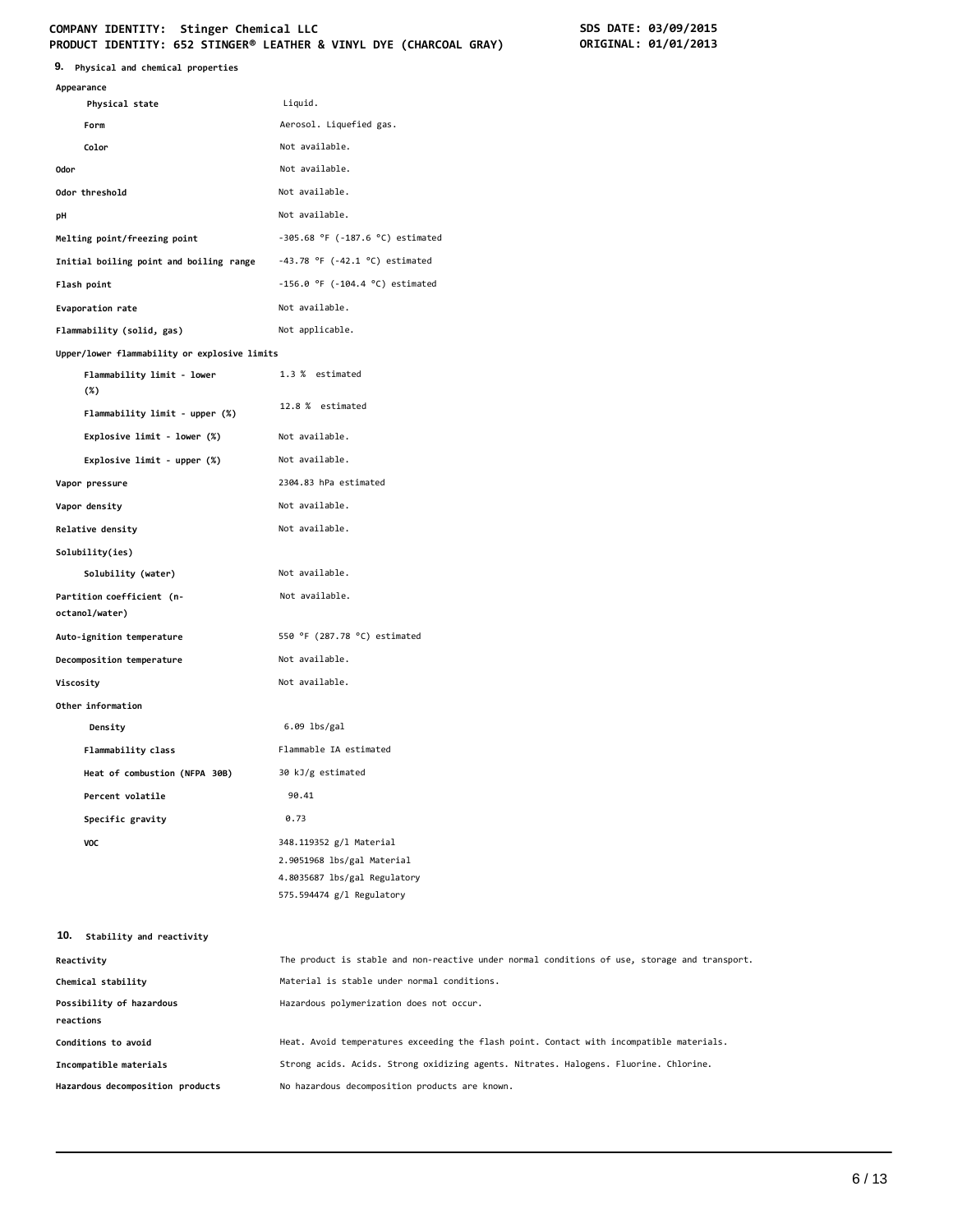## **COMPANY IDENTITY: Stinger Chemical LLC SDS DATE: 03/09/2015 PRODUCT IDENTITY: 652 STINGER® LEATHER & VINYL DYE (CHARCOAL GRAY)**

| 9.<br>Physical and chemical properties       |                                                                                               |
|----------------------------------------------|-----------------------------------------------------------------------------------------------|
| Appearance                                   |                                                                                               |
| Physical state                               | Liquid.                                                                                       |
| Form                                         | Aerosol. Liquefied gas.                                                                       |
| Color                                        | Not available.                                                                                |
| 0dor                                         | Not available.                                                                                |
| Odor threshold                               | Not available.                                                                                |
| рH                                           | Not available.                                                                                |
| Melting point/freezing point                 | $-305.68$ °F ( $-187.6$ °C) estimated                                                         |
| Initial boiling point and boiling range      | $-43.78$ °F ( $-42.1$ °C) estimated                                                           |
| Flash point                                  | $-156.0$ °F ( $-104.4$ °C) estimated                                                          |
| Evaporation rate                             | Not available.                                                                                |
| Flammability (solid, gas)                    | Not applicable.                                                                               |
| Upper/lower flammability or explosive limits |                                                                                               |
| Flammability limit - lower<br>$(\%)$         | 1.3 % estimated                                                                               |
| Flammability limit - upper (%)               | 12.8 % estimated                                                                              |
| Explosive limit - lower (%)                  | Not available.                                                                                |
| Explosive limit - upper (%)                  | Not available.                                                                                |
| Vapor pressure                               | 2304.83 hPa estimated                                                                         |
| Vapor density                                | Not available.                                                                                |
| Relative density                             | Not available.                                                                                |
| Solubility(ies)                              |                                                                                               |
| Solubility (water)                           | Not available.                                                                                |
| Partition coefficient (n-<br>octanol/water)  | Not available.                                                                                |
| Auto-ignition temperature                    | 550 °F (287.78 °C) estimated                                                                  |
| Decomposition temperature                    | Not available.                                                                                |
| Viscosity                                    | Not available.                                                                                |
| Other information                            |                                                                                               |
| Density                                      | $6.09$ lbs/gal                                                                                |
| Flammability class                           | Flammable IA estimated                                                                        |
| Heat of combustion (NFPA 30B)                | 30 kJ/g estimated                                                                             |
| Percent volatile                             | 90.41                                                                                         |
| Specific gravity                             | 0.73                                                                                          |
| VOC                                          | 348.119352 g/l Material                                                                       |
|                                              | 2.9051968 lbs/gal Material                                                                    |
|                                              | 4.8035687 lbs/gal Regulatory                                                                  |
|                                              | 575.594474 g/l Regulatory                                                                     |
| 10.<br>Stability and reactivity              |                                                                                               |
| Reactivity                                   | The product is stable and non-reactive under normal conditions of use, storage and transport. |
| Chemical stability                           | Material is stable under normal conditions.                                                   |
| Possibility of hazardous                     | Hazardous polymerization does not occur.                                                      |
| reactions                                    |                                                                                               |
| Conditions to avoid                          | Heat. Avoid temperatures exceeding the flash point. Contact with incompatible materials.      |
| Incompatible materials                       | Strong acids. Acids. Strong oxidizing agents. Nitrates. Halogens. Fluorine. Chlorine.         |
| Hazardous decomposition products             | No hazardous decomposition products are known.                                                |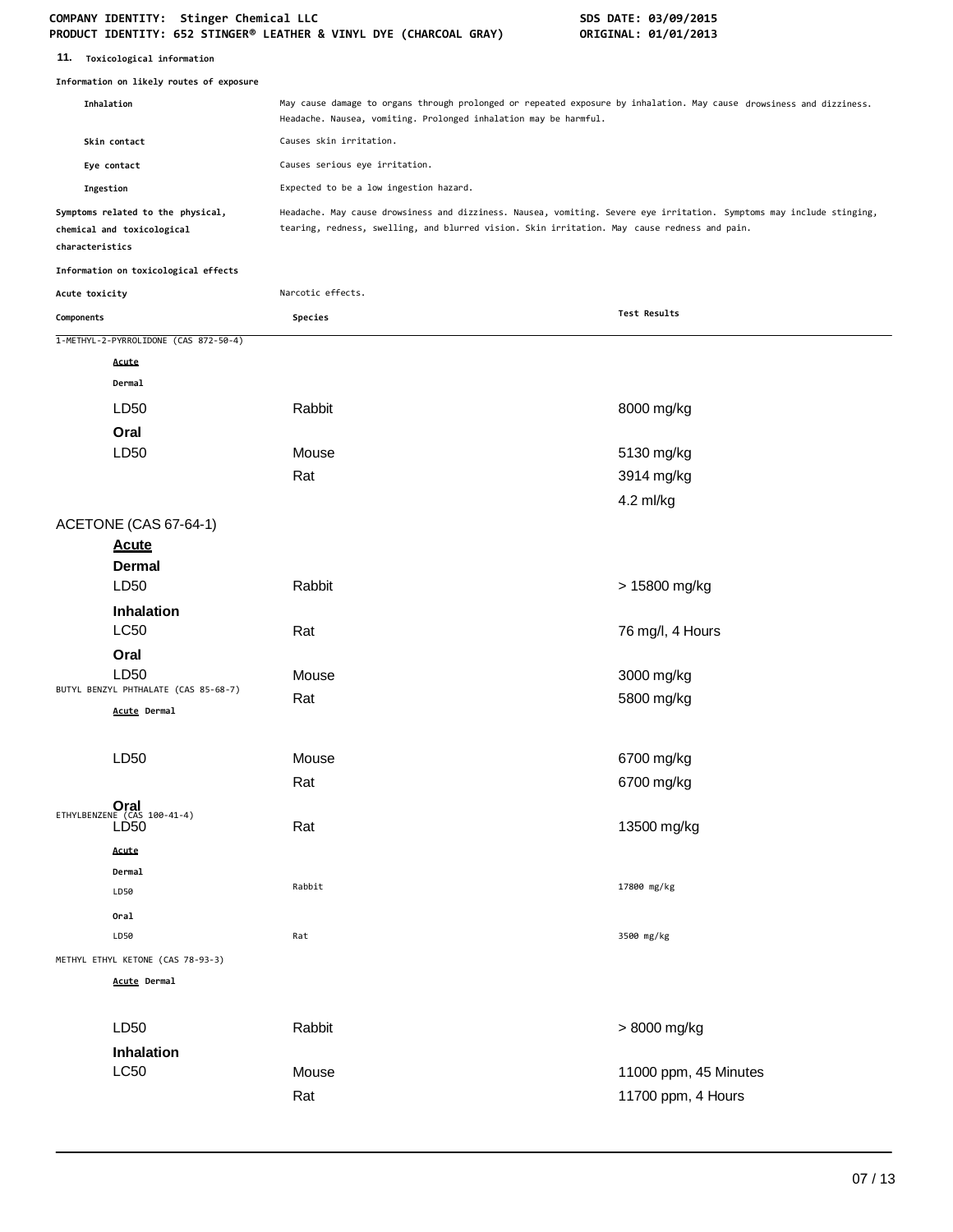#### **COMPANY IDENTITY: Stinger Chemical LLC SDS DATE: 03/09/2015 PRODUCT IDENTITY: 652 STINGER® LEATHER & VINYL DYE (CHARCOAL GRAY) ORIGINAL: 01/01/2013**

**11. Toxicological information**

|                 | Information on likely routes of exposure                        |                                                                                                                                                                                                                       |                                             |  |
|-----------------|-----------------------------------------------------------------|-----------------------------------------------------------------------------------------------------------------------------------------------------------------------------------------------------------------------|---------------------------------------------|--|
| Inhalation      |                                                                 | May cause damage to organs through prolonged or repeated exposure by inhalation. May cause drowsiness and dizziness.<br>Headache. Nausea, vomiting. Prolonged inhalation may be harmful.                              |                                             |  |
|                 | Skin contact                                                    | Causes skin irritation.                                                                                                                                                                                               |                                             |  |
|                 | Eye contact                                                     | Causes serious eye irritation.                                                                                                                                                                                        |                                             |  |
| Ingestion       |                                                                 | Expected to be a low ingestion hazard.                                                                                                                                                                                |                                             |  |
| characteristics | Symptoms related to the physical,<br>chemical and toxicological | Headache. May cause drowsiness and dizziness. Nausea, vomiting. Severe eye irritation. Symptoms may include stinging,<br>tearing, redness, swelling, and blurred vision. Skin irritation. May cause redness and pain. |                                             |  |
|                 | Information on toxicological effects                            |                                                                                                                                                                                                                       |                                             |  |
| Acute toxicity  |                                                                 | Narcotic effects.                                                                                                                                                                                                     |                                             |  |
| Components      |                                                                 | Species                                                                                                                                                                                                               | Test Results                                |  |
|                 | 1-METHYL-2-PYRROLIDONE (CAS 872-50-4)                           |                                                                                                                                                                                                                       |                                             |  |
|                 | Acute                                                           |                                                                                                                                                                                                                       |                                             |  |
|                 | Dermal                                                          |                                                                                                                                                                                                                       |                                             |  |
|                 | LD50                                                            | Rabbit                                                                                                                                                                                                                | 8000 mg/kg                                  |  |
|                 | Oral                                                            |                                                                                                                                                                                                                       |                                             |  |
|                 | LD <sub>50</sub>                                                | Mouse                                                                                                                                                                                                                 | 5130 mg/kg                                  |  |
|                 |                                                                 | Rat                                                                                                                                                                                                                   | 3914 mg/kg                                  |  |
|                 |                                                                 |                                                                                                                                                                                                                       | 4.2 ml/kg                                   |  |
|                 | ACETONE (CAS 67-64-1)<br><b>Acute</b>                           |                                                                                                                                                                                                                       |                                             |  |
|                 | <b>Dermal</b><br>LD <sub>50</sub>                               | Rabbit                                                                                                                                                                                                                | > 15800 mg/kg                               |  |
|                 | Inhalation<br><b>LC50</b>                                       | Rat                                                                                                                                                                                                                   | 76 mg/l, 4 Hours                            |  |
|                 | Oral<br>LD50                                                    | Mouse                                                                                                                                                                                                                 | 3000 mg/kg                                  |  |
|                 | BUTYL BENZYL PHTHALATE (CAS 85-68-7)<br>Acute Dermal            | Rat                                                                                                                                                                                                                   | 5800 mg/kg                                  |  |
|                 | LD50                                                            | Mouse                                                                                                                                                                                                                 | 6700 mg/kg                                  |  |
|                 |                                                                 | Rat                                                                                                                                                                                                                   | 6700 mg/kg                                  |  |
|                 | $Oral$ ETHYLBENZENE (CAS 100-41-4)<br>LD <sub>50</sub>          | Rat                                                                                                                                                                                                                   | 13500 mg/kg                                 |  |
|                 | Acute<br>Dermal<br>LD50                                         | Rabbit                                                                                                                                                                                                                | 17800 mg/kg                                 |  |
|                 | Oral<br>LD50                                                    | Rat                                                                                                                                                                                                                   | 3500 mg/kg                                  |  |
|                 | METHYL ETHYL KETONE (CAS 78-93-3)                               |                                                                                                                                                                                                                       |                                             |  |
|                 | <b>Acute Dermal</b>                                             |                                                                                                                                                                                                                       |                                             |  |
|                 | LD50<br>Inhalation                                              | Rabbit                                                                                                                                                                                                                | > 8000 mg/kg                                |  |
|                 | L <sub>C</sub> 50                                               | Mouse<br>Rat                                                                                                                                                                                                          | 11000 ppm, 45 Minutes<br>11700 ppm, 4 Hours |  |
|                 |                                                                 |                                                                                                                                                                                                                       |                                             |  |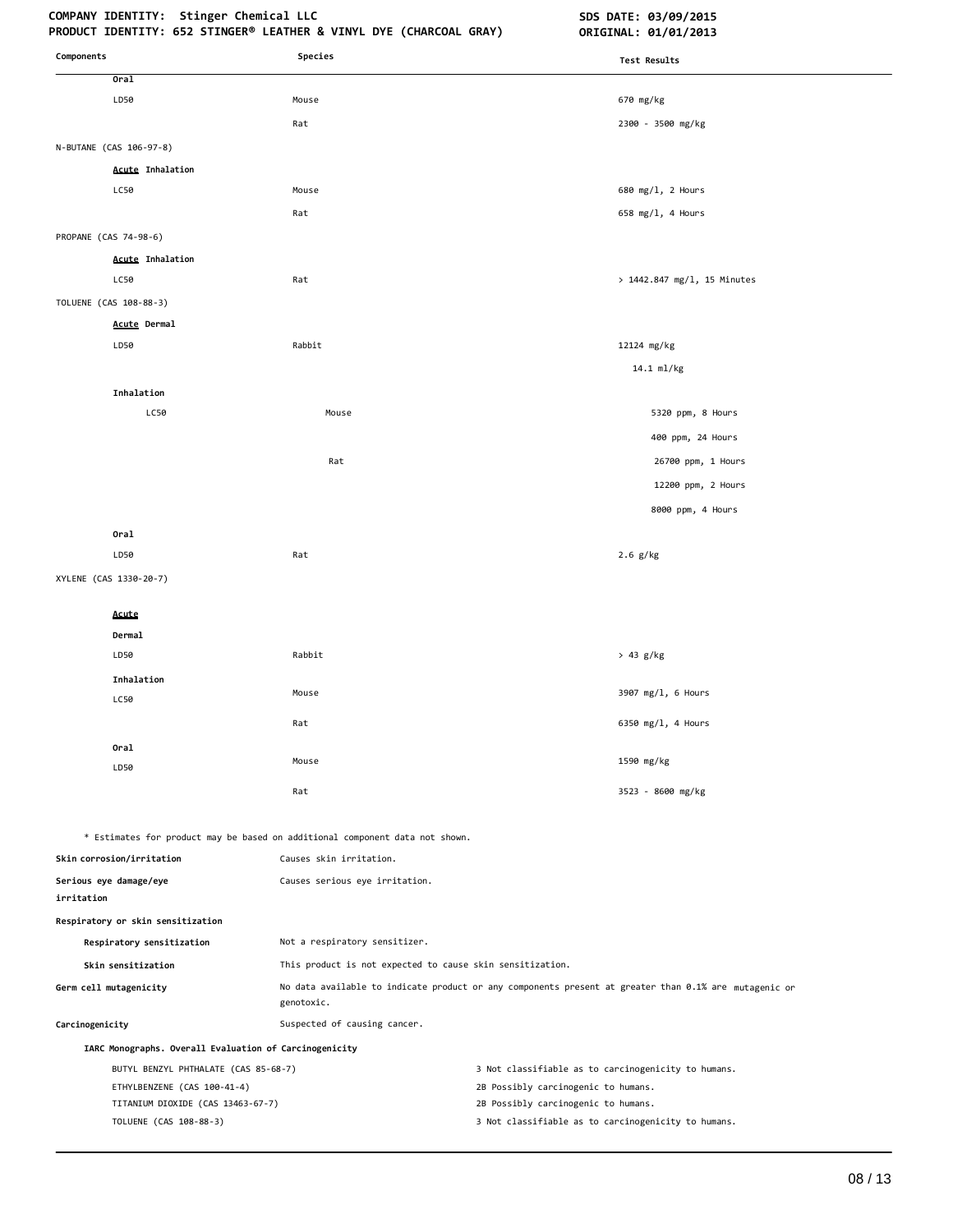## **COMPANY IDENTITY: Stinger Chemical LLC SDS DATE: 03/09/2015**

| Components                                                       | Species                                                                      | Test Results                                                                                          |  |
|------------------------------------------------------------------|------------------------------------------------------------------------------|-------------------------------------------------------------------------------------------------------|--|
| Oral                                                             |                                                                              |                                                                                                       |  |
| LD50                                                             | Mouse                                                                        | 670 mg/kg                                                                                             |  |
|                                                                  | Rat                                                                          | 2300 - 3500 mg/kg                                                                                     |  |
| N-BUTANE (CAS 106-97-8)                                          |                                                                              |                                                                                                       |  |
| <b>Acute Inhalation</b>                                          |                                                                              |                                                                                                       |  |
| LC50                                                             | Mouse                                                                        | 680 mg/1, 2 Hours                                                                                     |  |
|                                                                  | Rat                                                                          | 658 mg/l, 4 Hours                                                                                     |  |
| PROPANE (CAS 74-98-6)                                            |                                                                              |                                                                                                       |  |
| <b>Acute Inhalation</b>                                          |                                                                              |                                                                                                       |  |
| LC50                                                             | Rat                                                                          | > 1442.847 mg/l, 15 Minutes                                                                           |  |
| TOLUENE (CAS 108-88-3)                                           |                                                                              |                                                                                                       |  |
| Acute Dermal                                                     |                                                                              |                                                                                                       |  |
| LD50                                                             | Rabbit                                                                       | 12124 mg/kg                                                                                           |  |
|                                                                  |                                                                              | 14.1 ml/kg                                                                                            |  |
| Inhalation                                                       |                                                                              |                                                                                                       |  |
| LC50                                                             | Mouse                                                                        | 5320 ppm, 8 Hours                                                                                     |  |
|                                                                  |                                                                              | 400 ppm, 24 Hours                                                                                     |  |
|                                                                  | Rat                                                                          | 26700 ppm, 1 Hours                                                                                    |  |
|                                                                  |                                                                              | 12200 ppm, 2 Hours                                                                                    |  |
|                                                                  |                                                                              | 8000 ppm, 4 Hours                                                                                     |  |
| Oral                                                             |                                                                              |                                                                                                       |  |
| LD50                                                             | Rat                                                                          | $2.6$ g/kg                                                                                            |  |
| XYLENE (CAS 1330-20-7)                                           |                                                                              |                                                                                                       |  |
|                                                                  |                                                                              |                                                                                                       |  |
| Acute<br>Dermal                                                  |                                                                              |                                                                                                       |  |
| LD50                                                             | Rabbit                                                                       | > 43 g/kg                                                                                             |  |
| Inhalation                                                       |                                                                              |                                                                                                       |  |
| LC50                                                             | Mouse                                                                        | 3907 mg/l, 6 Hours                                                                                    |  |
|                                                                  | Rat                                                                          | 6350 mg/l, 4 Hours                                                                                    |  |
| Oral                                                             |                                                                              |                                                                                                       |  |
| LD50                                                             | Mouse                                                                        | 1590 mg/kg                                                                                            |  |
|                                                                  | Rat                                                                          | 3523 - 8600 mg/kg                                                                                     |  |
|                                                                  |                                                                              |                                                                                                       |  |
|                                                                  | * Estimates for product may be based on additional component data not shown. |                                                                                                       |  |
| Skin corrosion/irritation                                        | Causes skin irritation.                                                      |                                                                                                       |  |
| Serious eye damage/eye<br>irritation                             | Causes serious eye irritation.                                               |                                                                                                       |  |
| Respiratory or skin sensitization                                |                                                                              |                                                                                                       |  |
| Respiratory sensitization                                        | Not a respiratory sensitizer.                                                |                                                                                                       |  |
| Skin sensitization                                               | This product is not expected to cause skin sensitization.                    |                                                                                                       |  |
| Germ cell mutagenicity                                           | genotoxic.                                                                   | No data available to indicate product or any components present at greater than 0.1% are mutagenic or |  |
| Carcinogenicity                                                  | Suspected of causing cancer.                                                 |                                                                                                       |  |
| IARC Monographs. Overall Evaluation of Carcinogenicity           |                                                                              |                                                                                                       |  |
| BUTYL BENZYL PHTHALATE (CAS 85-68-7)                             |                                                                              | 3 Not classifiable as to carcinogenicity to humans.                                                   |  |
| ETHYLBENZENE (CAS 100-41-4)<br>TITANIUM DIOXIDE (CAS 13463-67-7) |                                                                              | 2B Possibly carcinogenic to humans.<br>2B Possibly carcinogenic to humans.                            |  |
| TOLUENE (CAS 108-88-3)                                           |                                                                              |                                                                                                       |  |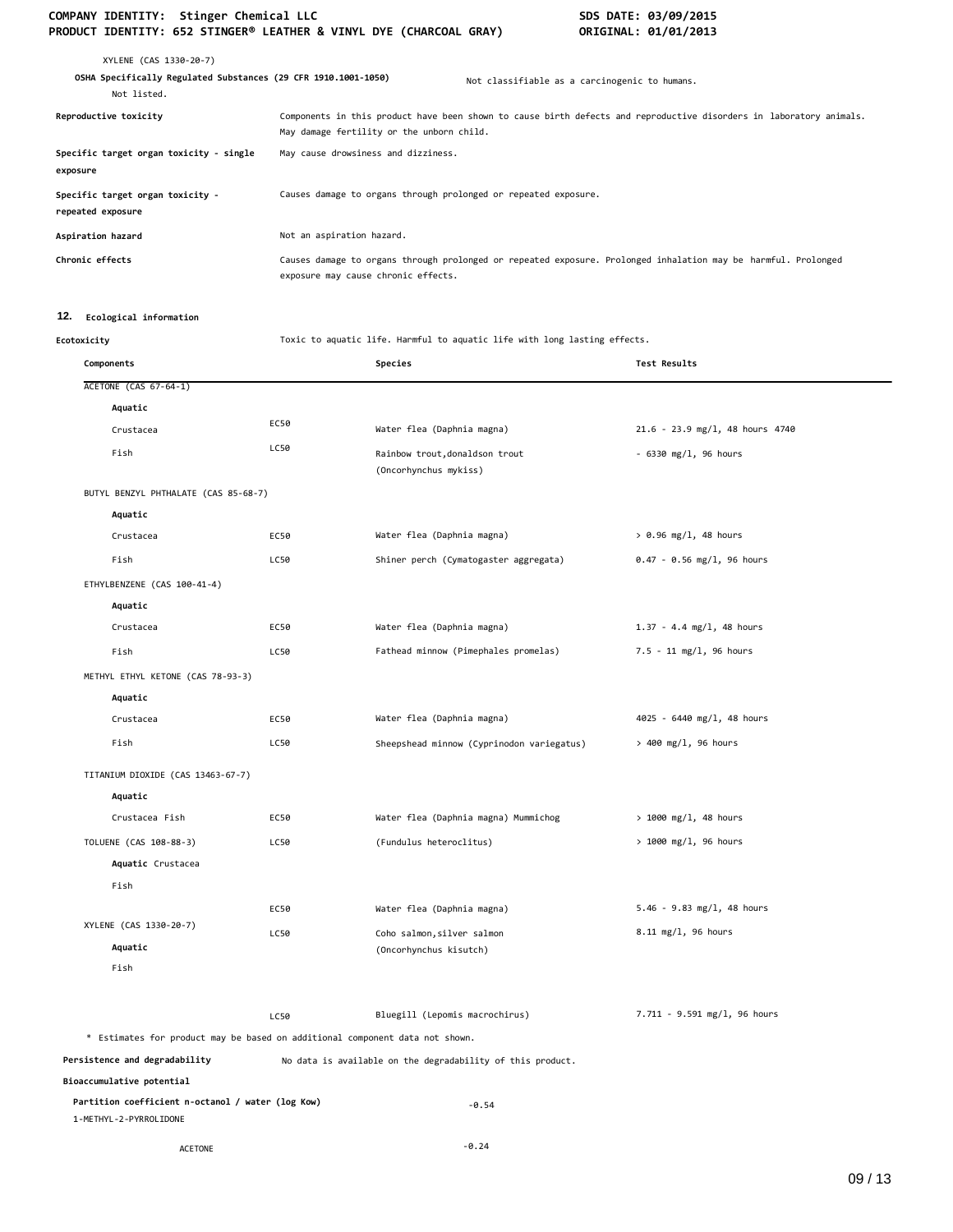## COMPANY IDENTITY: Stinger Chemical LLC<br>PRODUCT IDENTITY: 652 STINGER® LEATHER & VINYL DYE (CHARCOAL GRAY) ORIGINAL: 01/01/2013 **PRODUCT IDENTITY: 652 STINGER® LEATHER & VINYL DYE (CHARCOAL GRAY)**

| XYLENE (CAS 1330-20-7)                                                        |                                                                 |                                                                                                                     |
|-------------------------------------------------------------------------------|-----------------------------------------------------------------|---------------------------------------------------------------------------------------------------------------------|
| OSHA Specifically Regulated Substances (29 CFR 1910.1001-1050)<br>Not listed. |                                                                 | Not classifiable as a carcinogenic to humans.                                                                       |
| Reproductive toxicity                                                         | May damage fertility or the unborn child.                       | Components in this product have been shown to cause birth defects and reproductive disorders in laboratory animals. |
| Specific target organ toxicity - single<br>exposure                           | May cause drowsiness and dizziness.                             |                                                                                                                     |
| Specific target organ toxicity -<br>repeated exposure                         | Causes damage to organs through prolonged or repeated exposure. |                                                                                                                     |
| Aspiration hazard                                                             | Not an aspiration hazard.                                       |                                                                                                                     |
| Chronic effects                                                               | exposure may cause chronic effects.                             | Causes damage to organs through prolonged or repeated exposure. Prolonged inhalation may be harmful. Prolonged      |

## **12. Ecological information**

**Ecotoxicity** Toxic to aquatic life. Harmful to aquatic life with long lasting effects.

| Components                                                                   |      | Species                                                    | <b>Test Results</b>             |
|------------------------------------------------------------------------------|------|------------------------------------------------------------|---------------------------------|
| <b>ACETONE (CAS 67-64-1)</b>                                                 |      |                                                            |                                 |
| Aquatic                                                                      |      |                                                            |                                 |
| Crustacea                                                                    | EC50 | Water flea (Daphnia magna)                                 | 21.6 - 23.9 mg/l, 48 hours 4740 |
| Fish                                                                         | LC50 | Rainbow trout, donaldson trout<br>(Oncorhynchus mykiss)    | $-6330$ mg/l, 96 hours          |
| BUTYL BENZYL PHTHALATE (CAS 85-68-7)                                         |      |                                                            |                                 |
| Aquatic                                                                      |      |                                                            |                                 |
| Crustacea                                                                    | EC50 | Water flea (Daphnia magna)                                 | $> 0.96$ mg/l, 48 hours         |
| Fish                                                                         | LC50 | Shiner perch (Cymatogaster aggregata)                      | $0.47 - 0.56$ mg/l, 96 hours    |
| ETHYLBENZENE (CAS 100-41-4)                                                  |      |                                                            |                                 |
| Aquatic                                                                      |      |                                                            |                                 |
| Crustacea                                                                    | EC50 | Water flea (Daphnia magna)                                 | $1.37 - 4.4$ mg/l, 48 hours     |
| Fish                                                                         | LC50 | Fathead minnow (Pimephales promelas)                       | $7.5 - 11$ mg/l, 96 hours       |
| METHYL ETHYL KETONE (CAS 78-93-3)                                            |      |                                                            |                                 |
| Aquatic                                                                      |      |                                                            |                                 |
| Crustacea                                                                    | EC50 | Water flea (Daphnia magna)                                 | 4025 - 6440 mg/l, 48 hours      |
| Fish                                                                         | LC50 | Sheepshead minnow (Cyprinodon variegatus)                  | > 400 mg/l, 96 hours            |
| TITANIUM DIOXIDE (CAS 13463-67-7)                                            |      |                                                            |                                 |
| Aquatic                                                                      |      |                                                            |                                 |
| Crustacea Fish                                                               | EC50 | Water flea (Daphnia magna) Mummichog                       | $> 1000$ mg/l, 48 hours         |
| TOLUENE (CAS 108-88-3)                                                       | LC50 | (Fundulus heteroclitus)                                    | $> 1000$ mg/l, 96 hours         |
| Aquatic Crustacea                                                            |      |                                                            |                                 |
| Fish                                                                         |      |                                                            |                                 |
|                                                                              | EC50 | Water flea (Daphnia magna)                                 | 5.46 - 9.83 mg/l, 48 hours      |
| XYLENE (CAS 1330-20-7)                                                       | LC50 | Coho salmon, silver salmon                                 | 8.11 mg/l, 96 hours             |
| Aquatic                                                                      |      | (Oncorhynchus kisutch)                                     |                                 |
| Fish                                                                         |      |                                                            |                                 |
|                                                                              | LC50 | Bluegill (Lepomis macrochirus)                             | 7.711 - 9.591 mg/l, 96 hours    |
| * Estimates for product may be based on additional component data not shown. |      |                                                            |                                 |
| Persistence and degradability                                                |      | No data is available on the degradability of this product. |                                 |
| Bioaccumulative potential                                                    |      |                                                            |                                 |
| Partition coefficient n-octanol / water (log Kow)<br>1-METHYL-2-PYRROLIDONE  |      | $-0.54$                                                    |                                 |
| <b>ACETONE</b>                                                               |      | $-0.24$                                                    |                                 |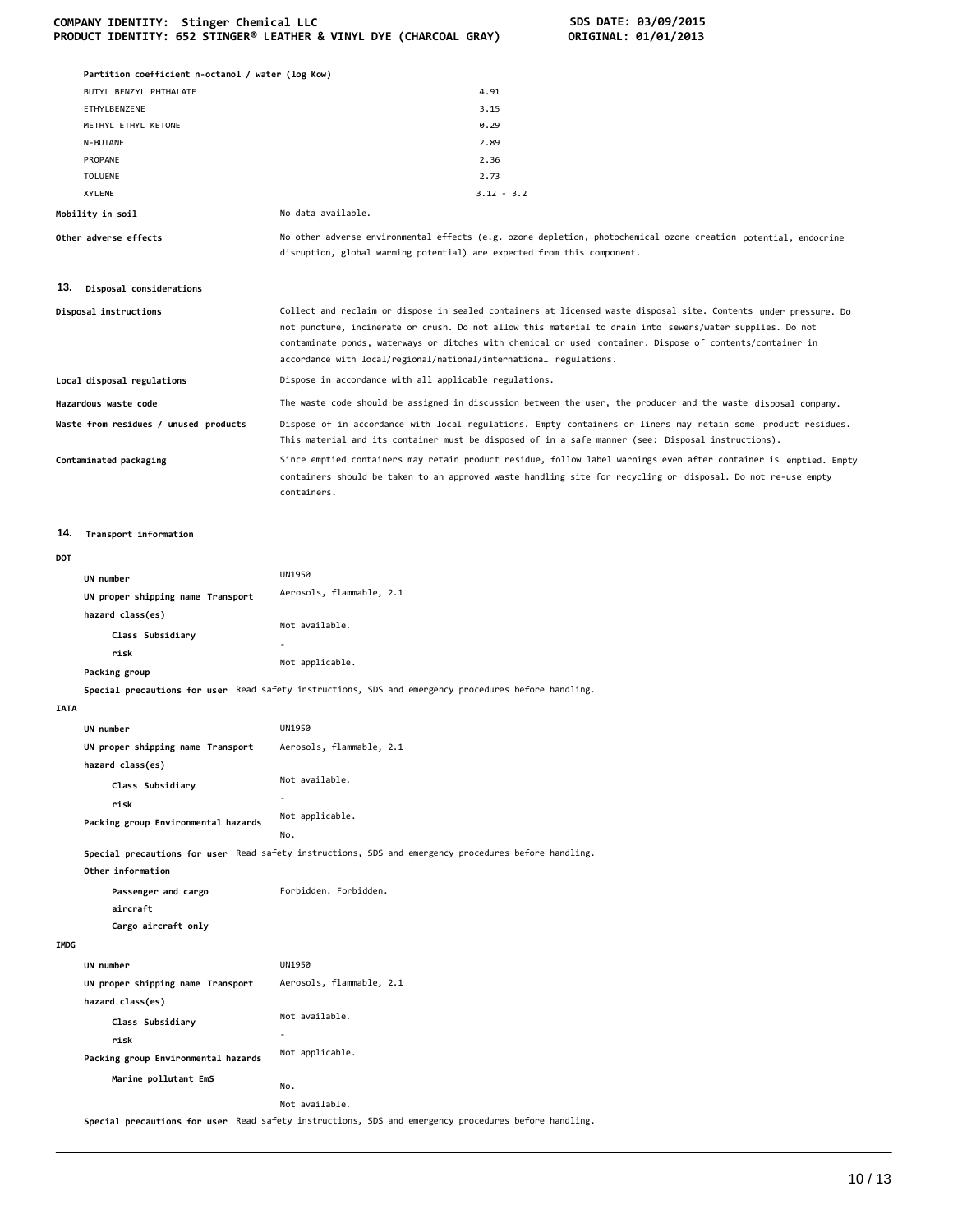| COMPANY IDENTITY: Stinger Chemical LLC            | SDS DATE: 03/09/2015<br>PRODUCT IDENTITY: 652 STINGER® LEATHER & VINYL DYE (CHARCOAL GRAY)<br>ORIGINAL: 01/01/2013                                                                                                                                                                                                                                                                                               |
|---------------------------------------------------|------------------------------------------------------------------------------------------------------------------------------------------------------------------------------------------------------------------------------------------------------------------------------------------------------------------------------------------------------------------------------------------------------------------|
| Partition coefficient n-octanol / water (log Kow) |                                                                                                                                                                                                                                                                                                                                                                                                                  |
| BUTYL BENZYL PHTHALATE                            | 4.91                                                                                                                                                                                                                                                                                                                                                                                                             |
| ETHYLBENZENE                                      | 3.15                                                                                                                                                                                                                                                                                                                                                                                                             |
| METHYL ETHYL KETONE                               | 0.29                                                                                                                                                                                                                                                                                                                                                                                                             |
| N-BUTANE                                          | 2.89                                                                                                                                                                                                                                                                                                                                                                                                             |
| PROPANE                                           | 2.36                                                                                                                                                                                                                                                                                                                                                                                                             |
| <b>TOLUENE</b>                                    | 2.73                                                                                                                                                                                                                                                                                                                                                                                                             |
| <b>XYLENE</b>                                     | $3.12 - 3.2$                                                                                                                                                                                                                                                                                                                                                                                                     |
| Mobility in soil                                  | No data available.                                                                                                                                                                                                                                                                                                                                                                                               |
| Other adverse effects                             | No other adverse environmental effects (e.g. ozone depletion, photochemical ozone creation potential, endocrine<br>disruption, global warming potential) are expected from this component.                                                                                                                                                                                                                       |
| 13.<br>Disposal considerations                    |                                                                                                                                                                                                                                                                                                                                                                                                                  |
| Disposal instructions                             | Collect and reclaim or dispose in sealed containers at licensed waste disposal site. Contents under pressure, Do<br>not puncture, incinerate or crush. Do not allow this material to drain into sewers/water supplies. Do not<br>contaminate ponds, waterways or ditches with chemical or used container. Dispose of contents/container in<br>accordance with local/regional/national/international regulations. |
| Local disposal regulations                        | Dispose in accordance with all applicable regulations.                                                                                                                                                                                                                                                                                                                                                           |
| Hazardous waste code                              | The waste code should be assigned in discussion between the user, the producer and the waste disposal company.                                                                                                                                                                                                                                                                                                   |
| Waste from residues / unused products             | Dispose of in accordance with local regulations. Empty containers or liners may retain some product residues.<br>This material and its container must be disposed of in a safe manner (see: Disposal instructions).                                                                                                                                                                                              |
| Contaminated packaging                            | Since emptied containers may retain product residue, follow label warnings even after container is emptied. Empty<br>containers should be taken to an approved waste handling site for recycling or disposal. Do not re-use empty<br>containers.                                                                                                                                                                 |
| 14.<br>Transport information                      |                                                                                                                                                                                                                                                                                                                                                                                                                  |
| DOT                                               |                                                                                                                                                                                                                                                                                                                                                                                                                  |
| UN number                                         | <b>UN1950</b>                                                                                                                                                                                                                                                                                                                                                                                                    |

|      | un number                           |                                                                                                      |
|------|-------------------------------------|------------------------------------------------------------------------------------------------------|
|      | UN proper shipping name Transport   | Aerosols, flammable, 2.1                                                                             |
|      | hazard class(es)                    |                                                                                                      |
|      | Class Subsidiary                    | Not available.                                                                                       |
|      | risk                                |                                                                                                      |
|      | Packing group                       | Not applicable.                                                                                      |
|      |                                     | Special precautions for user Read safety instructions, SDS and emergency procedures before handling. |
| IATA |                                     |                                                                                                      |
|      | UN number                           | <b>UN1950</b>                                                                                        |
|      | UN proper shipping name Transport   | Aerosols, flammable, 2.1                                                                             |
|      | hazard class(es)                    |                                                                                                      |
|      | Class Subsidiary                    | Not available.                                                                                       |
|      | risk                                |                                                                                                      |
|      | Packing group Environmental hazards | Not applicable.                                                                                      |
|      |                                     | No.                                                                                                  |
|      |                                     | Special precautions for user Read safety instructions, SDS and emergency procedures before handling. |
|      | Other information                   |                                                                                                      |
|      | Passenger and cargo                 | Forbidden. Forbidden.                                                                                |
|      | aircraft                            |                                                                                                      |
|      | Cargo aircraft only                 |                                                                                                      |
| IMDG |                                     |                                                                                                      |
|      | UN number                           | <b>UN1950</b>                                                                                        |
|      | UN proper shipping name Transport   | Aerosols, flammable, 2.1                                                                             |
|      | hazard class(es)                    |                                                                                                      |
|      | Class Subsidiary                    | Not available.                                                                                       |
|      | risk                                | Not applicable.                                                                                      |
|      | Packing group Environmental hazards |                                                                                                      |
|      | Marine pollutant EmS                | No.                                                                                                  |
|      |                                     | Not available.                                                                                       |
|      |                                     | Special precautions for user Read safety instructions, SDS and emergency procedures before handling. |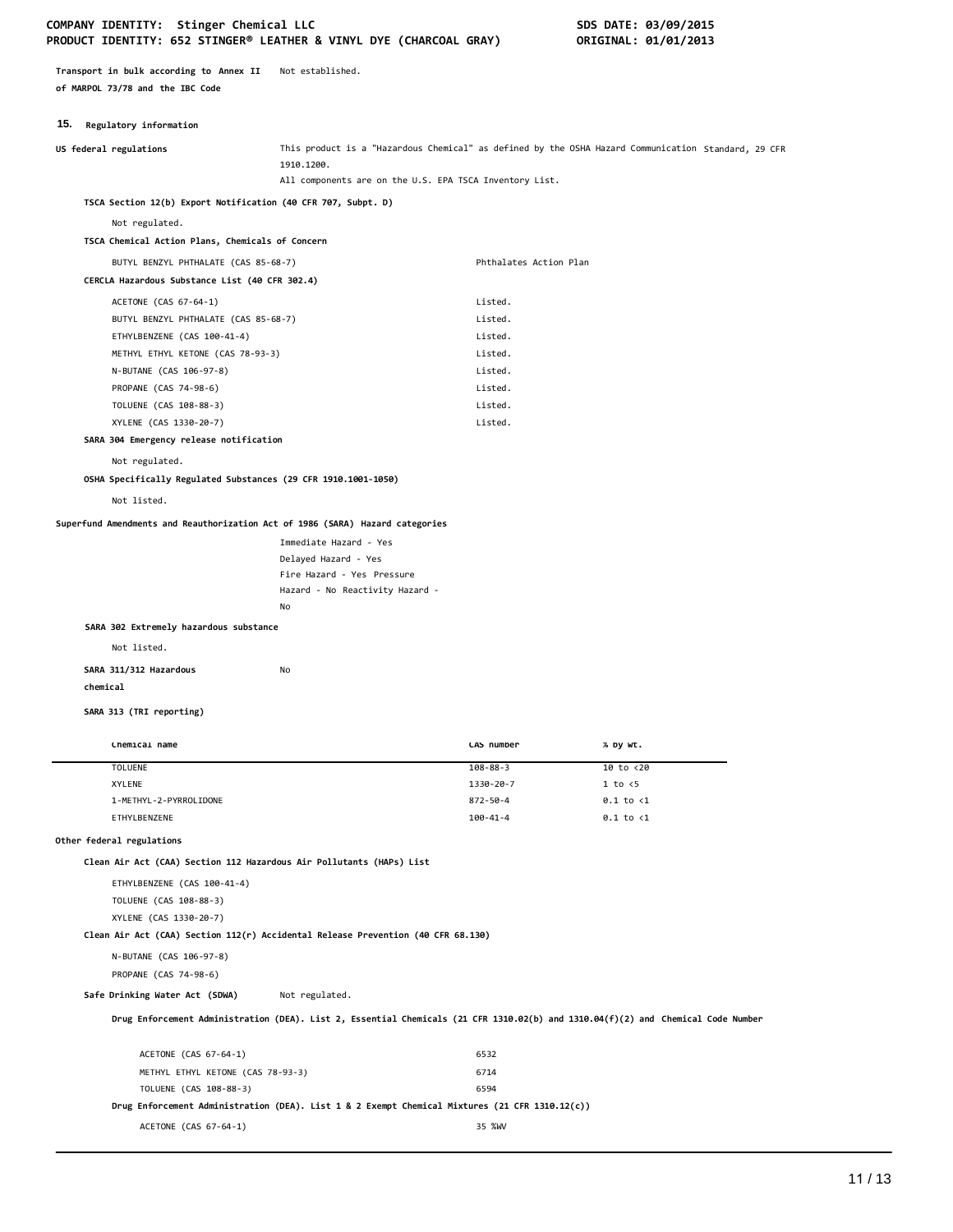## COMPANY IDENTITY: Stinger Chemical LLC **SUPPERS 2009/2015** SDS DATE: 03/09/2015 **PRODUCT IDENTITY: 652 STINGER® LEATHER & VINYL DYE (CHARCOAL GRAY) ORIGINAL: 01/01/2013**

**Transport in bulk according to Annex II** Not established. **of MARPOL 73/78 and the IBC Code**

## **15. Regulatory information**

| <b>10.</b> Regulatory Information                                                  |                                                                                                                                  |                        |                                                                                                     |
|------------------------------------------------------------------------------------|----------------------------------------------------------------------------------------------------------------------------------|------------------------|-----------------------------------------------------------------------------------------------------|
| US federal regulations                                                             | 1910.1200.                                                                                                                       |                        | This product is a "Hazardous Chemical" as defined by the OSHA Hazard Communication Standard, 29 CFR |
|                                                                                    | All components are on the U.S. EPA TSCA Inventory List.                                                                          |                        |                                                                                                     |
| TSCA Section 12(b) Export Notification (40 CFR 707, Subpt. D)                      |                                                                                                                                  |                        |                                                                                                     |
| Not regulated.                                                                     |                                                                                                                                  |                        |                                                                                                     |
| TSCA Chemical Action Plans, Chemicals of Concern                                   |                                                                                                                                  |                        |                                                                                                     |
| BUTYL BENZYL PHTHALATE (CAS 85-68-7)                                               |                                                                                                                                  | Phthalates Action Plan |                                                                                                     |
| CERCLA Hazardous Substance List (40 CFR 302.4)                                     |                                                                                                                                  |                        |                                                                                                     |
| ACETONE (CAS 67-64-1)                                                              |                                                                                                                                  | Listed.                |                                                                                                     |
| BUTYL BENZYL PHTHALATE (CAS 85-68-7)                                               |                                                                                                                                  | Listed.                |                                                                                                     |
| ETHYLBENZENE (CAS 100-41-4)                                                        |                                                                                                                                  | Listed.                |                                                                                                     |
| METHYL ETHYL KETONE (CAS 78-93-3)                                                  |                                                                                                                                  | Listed.                |                                                                                                     |
| N-BUTANE (CAS 106-97-8)                                                            |                                                                                                                                  | Listed.                |                                                                                                     |
| PROPANE (CAS 74-98-6)                                                              |                                                                                                                                  | Listed.                |                                                                                                     |
| TOLUENE (CAS 108-88-3)                                                             |                                                                                                                                  | Listed.                |                                                                                                     |
| XYLENE (CAS 1330-20-7)                                                             |                                                                                                                                  | Listed.                |                                                                                                     |
| SARA 304 Emergency release notification                                            |                                                                                                                                  |                        |                                                                                                     |
| Not regulated.                                                                     |                                                                                                                                  |                        |                                                                                                     |
| OSHA Specifically Regulated Substances (29 CFR 1910.1001-1050)                     |                                                                                                                                  |                        |                                                                                                     |
| Not listed.                                                                        |                                                                                                                                  |                        |                                                                                                     |
| Superfund Amendments and Reauthorization Act of 1986 (SARA) Hazard categories      |                                                                                                                                  |                        |                                                                                                     |
|                                                                                    | Immediate Hazard - Yes                                                                                                           |                        |                                                                                                     |
|                                                                                    | Delayed Hazard - Yes                                                                                                             |                        |                                                                                                     |
|                                                                                    | Fire Hazard - Yes Pressure                                                                                                       |                        |                                                                                                     |
|                                                                                    | Hazard - No Reactivity Hazard -                                                                                                  |                        |                                                                                                     |
|                                                                                    | No                                                                                                                               |                        |                                                                                                     |
| SARA 302 Extremely hazardous substance                                             |                                                                                                                                  |                        |                                                                                                     |
| Not listed.                                                                        |                                                                                                                                  |                        |                                                                                                     |
| SARA 311/312 Hazardous                                                             | No                                                                                                                               |                        |                                                                                                     |
| chemical                                                                           |                                                                                                                                  |                        |                                                                                                     |
| SARA 313 (TRI reporting)                                                           |                                                                                                                                  |                        |                                                                                                     |
|                                                                                    |                                                                                                                                  |                        |                                                                                                     |
| Chemical name                                                                      |                                                                                                                                  | CAS number             | % by wt.                                                                                            |
| <b>TOLUENE</b>                                                                     |                                                                                                                                  | $108 - 88 - 3$         | 10 to <20                                                                                           |
| <b>XYLENE</b>                                                                      |                                                                                                                                  | 1330-20-7              | $1$ to $\langle 5$                                                                                  |
| 1-METHYL-2-PYRROLIDONE                                                             |                                                                                                                                  | $872 - 50 - 4$         | $0.1$ to $\langle 1$                                                                                |
| ETHYLBENZENE                                                                       |                                                                                                                                  | $100 - 41 - 4$         | $0.1$ to $\langle 1$                                                                                |
| Other federal regulations                                                          |                                                                                                                                  |                        |                                                                                                     |
| Clean Air Act (CAA) Section 112 Hazardous Air Pollutants (HAPs) List               |                                                                                                                                  |                        |                                                                                                     |
| ETHYLBENZENE (CAS 100-41-4)                                                        |                                                                                                                                  |                        |                                                                                                     |
| TOLUENE (CAS 108-88-3)                                                             |                                                                                                                                  |                        |                                                                                                     |
| XYLENE (CAS 1330-20-7)                                                             |                                                                                                                                  |                        |                                                                                                     |
| Clean Air Act (CAA) Section $112(r)$ Accidental Release Prevention (40 CFR 68.130) |                                                                                                                                  |                        |                                                                                                     |
| N-BUTANE (CAS 106-97-8)                                                            |                                                                                                                                  |                        |                                                                                                     |
| PROPANE (CAS 74-98-6)                                                              |                                                                                                                                  |                        |                                                                                                     |
| Safe Drinking Water Act (SDWA)                                                     | Not regulated.                                                                                                                   |                        |                                                                                                     |
|                                                                                    | Drug Enforcement Administration (DEA). List 2, Essential Chemicals (21 CFR 1310.02(b) and 1310.04(f)(2) and Chemical Code Number |                        |                                                                                                     |
|                                                                                    |                                                                                                                                  |                        |                                                                                                     |

| ACETONE (CAS 67-64-1)                                                                          | 6532   |
|------------------------------------------------------------------------------------------------|--------|
| METHYL ETHYL KETONE (CAS 78-93-3)                                                              | 6714   |
| TOLUENE (CAS 108-88-3)                                                                         | 6594   |
| Drug Enforcement Administration (DEA). List 1 & 2 Exempt Chemical Mixtures (21 CFR 1310.12(c)) |        |
| ACETONE (CAS 67-64-1)                                                                          | 35 %WV |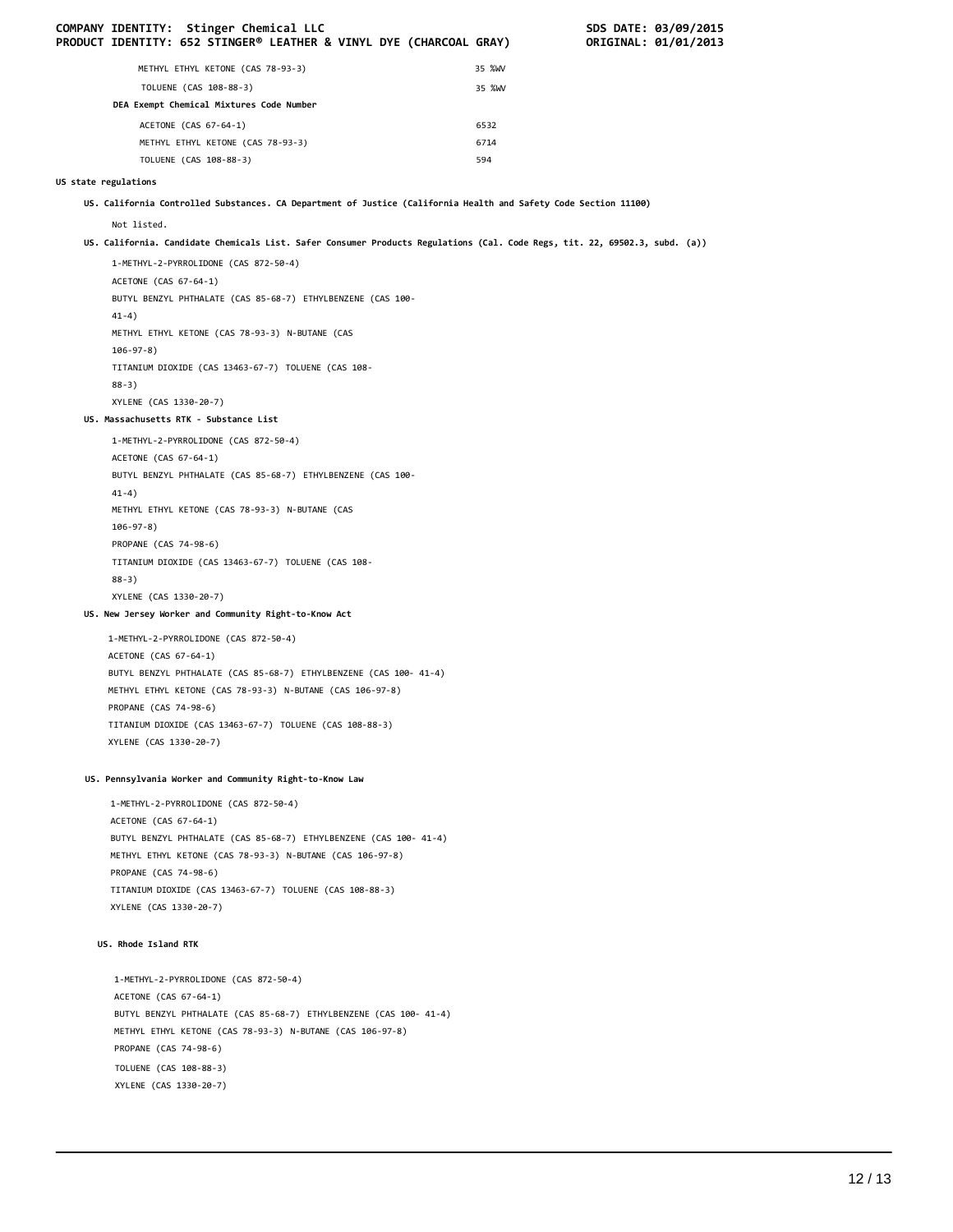|                      | COMPANY IDENTITY: Stinger Chemical LLC<br>PRODUCT IDENTITY: 652 STINGER® LEATHER & VINYL DYE (CHARCOAL GRAY)                   |        | SDS DATE: 03/09/2015<br>ORIGINAL: 01/01/2013 |
|----------------------|--------------------------------------------------------------------------------------------------------------------------------|--------|----------------------------------------------|
|                      | METHYL ETHYL KETONE (CAS 78-93-3)                                                                                              | 35 %WV |                                              |
|                      | TOLUENE (CAS 108-88-3)                                                                                                         | 35 %WV |                                              |
|                      | DEA Exempt Chemical Mixtures Code Number                                                                                       |        |                                              |
|                      | ACETONE (CAS 67-64-1)                                                                                                          | 6532   |                                              |
|                      | METHYL ETHYL KETONE (CAS 78-93-3)                                                                                              | 6714   |                                              |
|                      | TOLUENE (CAS 108-88-3)                                                                                                         | 594    |                                              |
| US state regulations |                                                                                                                                |        |                                              |
|                      | US. California Controlled Substances. CA Department of Justice (California Health and Safety Code Section 11100)               |        |                                              |
|                      | Not listed.                                                                                                                    |        |                                              |
|                      | US. California. Candidate Chemicals List. Safer Consumer Products Regulations (Cal. Code Regs, tit. 22, 69502.3, subd. (a))    |        |                                              |
|                      | 1-METHYL-2-PYRROLIDONE (CAS 872-50-4)<br>ACETONE (CAS 67-64-1)                                                                 |        |                                              |
|                      | BUTYL BENZYL PHTHALATE (CAS 85-68-7) ETHYLBENZENE (CAS 100-<br>$41-4)$                                                         |        |                                              |
|                      | METHYL ETHYL KETONE (CAS 78-93-3) N-BUTANE (CAS<br>$106 - 97 - 8$ )                                                            |        |                                              |
|                      | TITANIUM DIOXIDE (CAS 13463-67-7) TOLUENE (CAS 108-<br>$88-3)$                                                                 |        |                                              |
|                      | XYLENE (CAS 1330-20-7)                                                                                                         |        |                                              |
|                      | US. Massachusetts RTK - Substance List                                                                                         |        |                                              |
|                      | 1-METHYL-2-PYRROLIDONE (CAS 872-50-4)                                                                                          |        |                                              |
|                      | ACETONE (CAS 67-64-1)                                                                                                          |        |                                              |
|                      | BUTYL BENZYL PHTHALATE (CAS 85-68-7) ETHYLBENZENE (CAS 100-                                                                    |        |                                              |
|                      | $41-4)$<br>METHYL ETHYL KETONE (CAS 78-93-3) N-BUTANE (CAS                                                                     |        |                                              |
|                      | $106 - 97 - 8$                                                                                                                 |        |                                              |
|                      | PROPANE (CAS 74-98-6)                                                                                                          |        |                                              |
|                      | TITANIUM DIOXIDE (CAS 13463-67-7) TOLUENE (CAS 108-<br>$88-3)$                                                                 |        |                                              |
|                      | XYLENE (CAS 1330-20-7)                                                                                                         |        |                                              |
|                      | US. New Jersey Worker and Community Right-to-Know Act                                                                          |        |                                              |
|                      | 1-METHYL-2-PYRROLIDONE (CAS 872-50-4)                                                                                          |        |                                              |
|                      | ACETONE (CAS 67-64-1)                                                                                                          |        |                                              |
|                      | BUTYL BENZYL PHTHALATE (CAS 85-68-7) ETHYLBENZENE (CAS 100- 41-4)                                                              |        |                                              |
|                      | METHYL ETHYL KETONE (CAS 78-93-3) N-BUTANE (CAS 106-97-8)<br>PROPANE (CAS 74-98-6)                                             |        |                                              |
|                      | TITANIUM DIOXIDE (CAS 13463-67-7) TOLUENE (CAS 108-88-3)                                                                       |        |                                              |
|                      | XYLENE (CAS 1330-20-7)                                                                                                         |        |                                              |
|                      | US. Pennsylvania Worker and Community Right-to-Know Law                                                                        |        |                                              |
|                      | 1-METHYL-2-PYRROLIDONE (CAS 872-50-4)                                                                                          |        |                                              |
|                      | ACETONE (CAS 67-64-1)                                                                                                          |        |                                              |
|                      | BUTYL BENZYL PHTHALATE (CAS 85-68-7) ETHYLBENZENE (CAS 100- 41-4)<br>METHYL ETHYL KETONE (CAS 78-93-3) N-BUTANE (CAS 106-97-8) |        |                                              |
|                      | PROPANE (CAS 74-98-6)                                                                                                          |        |                                              |
|                      | TITANIUM DIOXIDE (CAS 13463-67-7) TOLUENE (CAS 108-88-3)                                                                       |        |                                              |
|                      | XYLENE (CAS 1330-20-7)                                                                                                         |        |                                              |
|                      | US. Rhode Island RTK                                                                                                           |        |                                              |
|                      | 1-METHYL-2-PYRROLIDONE (CAS 872-50-4)                                                                                          |        |                                              |
|                      | ACETONE (CAS 67-64-1)                                                                                                          |        |                                              |
|                      | BUTYL BENZYL PHTHALATE (CAS 85-68-7) ETHYLBENZENE (CAS 100- 41-4)                                                              |        |                                              |
|                      | METHYL ETHYL KETONE (CAS 78-93-3) N-BUTANE (CAS 106-97-8)                                                                      |        |                                              |
|                      | PROPANE (CAS 74-98-6)                                                                                                          |        |                                              |
|                      | TOLUENE (CAS 108-88-3)<br>XYLENE (CAS 1330-20-7)                                                                               |        |                                              |
|                      |                                                                                                                                |        |                                              |